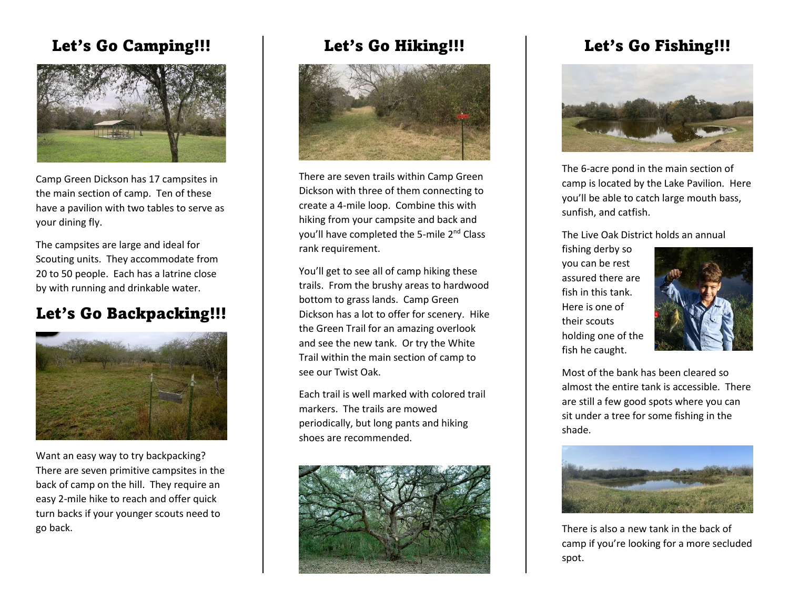## Let's Go Camping!!!



Camp Green Dickson has 17 campsites in the main section of camp. Ten of these have a pavilion with two tables to serve as your dining fly.

The campsites are large and ideal for Scouting units. They accommodate from 20 to 50 people. Each has a latrine close by with running and drinkable water.

# Let's Go Backpacking!!!



Want an easy way to try backpacking? There are seven primitive campsites in the back of camp on the hill. They require an easy 2-mile hike to reach and offer quick turn backs if your younger scouts need to go back.

### Let's Go Hiking!!!



There are seven trails within Camp Green Dickson with three of them connecting to create a 4-mile loop. Combine this with hiking from your campsite and back and you'll have completed the 5-mile 2<sup>nd</sup> Class rank requirement.

You'll get to see all of camp hiking these trails. From the brushy areas to hardwood bottom to grass lands. Camp Green Dickson has a lot to offer for scenery. Hike the Green Trail for an amazing overlook and see the new tank. Or try the White Trail within the main section of camp to see our Twist Oak.

Each trail is well marked with colored trail markers. The trails are mowed periodically, but long pants and hiking shoes are recommended.



# Let's Go Fishing!!!



The 6-acre pond in the main section of camp is located by the Lake Pavilion. Here you'll be able to catch large mouth bass, sunfish, and catfish.

The Live Oak District holds an annual

fishing derby so you can be rest assured there are fish in this tank. Here is one of their scouts holding one of the fish he caught.



Most of the bank has been cleared so almost the entire tank is accessible. There are still a few good spots where you can sit under a tree for some fishing in the shade.



There is also a new tank in the back of camp if you're looking for a more secluded spot.